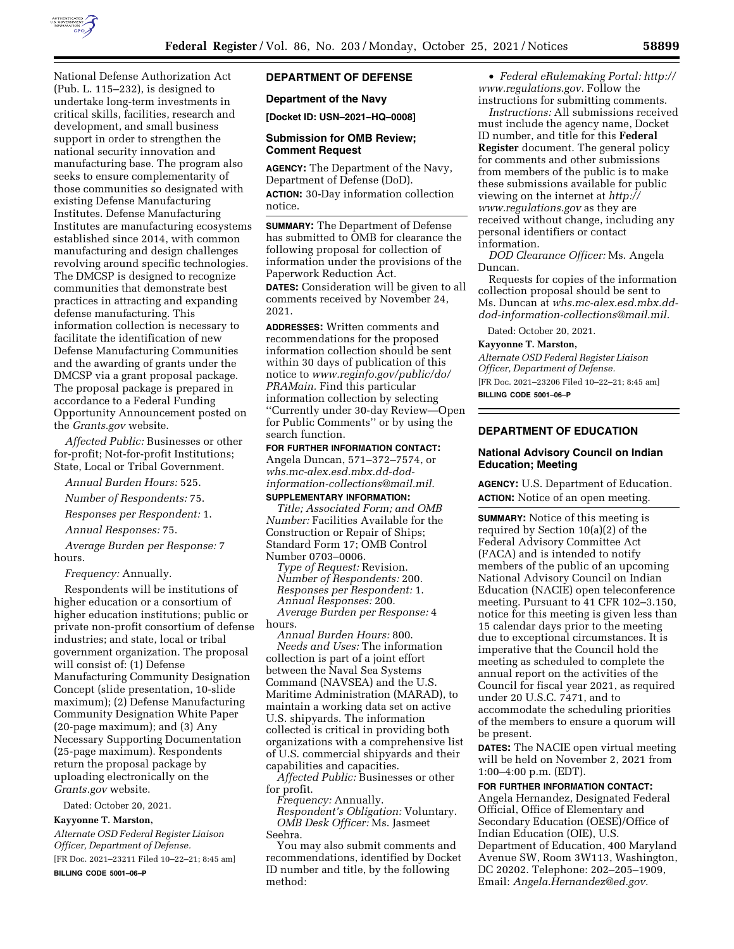

National Defense Authorization Act (Pub. L. 115–232), is designed to undertake long-term investments in critical skills, facilities, research and development, and small business support in order to strengthen the national security innovation and manufacturing base. The program also seeks to ensure complementarity of those communities so designated with existing Defense Manufacturing Institutes. Defense Manufacturing Institutes are manufacturing ecosystems established since 2014, with common manufacturing and design challenges revolving around specific technologies. The DMCSP is designed to recognize communities that demonstrate best practices in attracting and expanding defense manufacturing. This information collection is necessary to facilitate the identification of new Defense Manufacturing Communities and the awarding of grants under the DMCSP via a grant proposal package. The proposal package is prepared in accordance to a Federal Funding Opportunity Announcement posted on the *Grants.gov* website.

*Affected Public:* Businesses or other for-profit; Not-for-profit Institutions; State, Local or Tribal Government.

*Annual Burden Hours:* 525.

*Number of Respondents:* 75.

*Responses per Respondent:* 1.

*Annual Responses:* 75.

*Average Burden per Response:* 7 hours.

*Frequency:* Annually.

Respondents will be institutions of higher education or a consortium of higher education institutions; public or private non-profit consortium of defense industries; and state, local or tribal government organization. The proposal will consist of: (1) Defense Manufacturing Community Designation Concept (slide presentation, 10-slide maximum); (2) Defense Manufacturing Community Designation White Paper (20-page maximum); and (3) Any Necessary Supporting Documentation (25-page maximum). Respondents return the proposal package by uploading electronically on the *Grants.gov* website.

Dated: October 20, 2021.

## **Kayyonne T. Marston,**

*Alternate OSD Federal Register Liaison Officer, Department of Defense.*  [FR Doc. 2021–23211 Filed 10–22–21; 8:45 am]

**BILLING CODE 5001–06–P** 

# **DEPARTMENT OF DEFENSE**

### **Department of the Navy**

**[Docket ID: USN–2021–HQ–0008]** 

### **Submission for OMB Review; Comment Request**

**AGENCY:** The Department of the Navy, Department of Defense (DoD). **ACTION:** 30-Day information collection notice.

**SUMMARY:** The Department of Defense has submitted to OMB for clearance the following proposal for collection of information under the provisions of the Paperwork Reduction Act.

**DATES:** Consideration will be given to all comments received by November 24, 2021.

**ADDRESSES:** Written comments and recommendations for the proposed information collection should be sent within 30 days of publication of this notice to *[www.reginfo.gov/public/do/](http://www.reginfo.gov/public/do/PRAMain) [PRAMain.](http://www.reginfo.gov/public/do/PRAMain)* Find this particular information collection by selecting ''Currently under 30-day Review—Open for Public Comments'' or by using the search function.

**FOR FURTHER INFORMATION CONTACT:**  Angela Duncan, 571–372–7574, or *[whs.mc-alex.esd.mbx.dd-dod](mailto:whs.mc-alex.esd.mbx.dd-dod-information-collections@mail.mil)[information-collections@mail.mil](mailto:whs.mc-alex.esd.mbx.dd-dod-information-collections@mail.mil)*. **SUPPLEMENTARY INFORMATION:** 

*Title; Associated Form; and OMB Number:* Facilities Available for the Construction or Repair of Ships; Standard Form 17; OMB Control Number 0703–0006.

*Type of Request:* Revision. *Number of Respondents:* 200. *Responses per Respondent:* 1. *Annual Responses:* 200. *Average Burden per Response:* 4 hours.

*Annual Burden Hours:* 800. *Needs and Uses:* The information collection is part of a joint effort between the Naval Sea Systems Command (NAVSEA) and the U.S. Maritime Administration (MARAD), to maintain a working data set on active U.S. shipyards. The information collected is critical in providing both organizations with a comprehensive list of U.S. commercial shipyards and their capabilities and capacities.

*Affected Public:* Businesses or other for profit.

*Frequency:* Annually. *Respondent's Obligation:* Voluntary. *OMB Desk Officer:* Ms. Jasmeet Seehra.

You may also submit comments and recommendations, identified by Docket ID number and title, by the following method:

• *Federal eRulemaking Portal: [http://](http://www.regulations.gov)  [www.regulations.gov.](http://www.regulations.gov)* Follow the instructions for submitting comments.

*Instructions:* All submissions received must include the agency name, Docket ID number, and title for this **Federal Register** document. The general policy for comments and other submissions from members of the public is to make these submissions available for public viewing on the internet at *[http://](http://www.regulations.gov) [www.regulations.gov](http://www.regulations.gov)* as they are received without change, including any personal identifiers or contact information.

*DOD Clearance Officer:* Ms. Angela Duncan.

Requests for copies of the information collection proposal should be sent to Ms. Duncan at *[whs.mc-alex.esd.mbx.dd](mailto:whs.mc-alex.esd.mbx.dd-dod-information-collections@mail.mil)[dod-information-collections@mail.mil.](mailto:whs.mc-alex.esd.mbx.dd-dod-information-collections@mail.mil)* 

Dated: October 20, 2021.

#### **Kayyonne T. Marston,**

*Alternate OSD Federal Register Liaison Officer, Department of Defense.*  [FR Doc. 2021–23206 Filed 10–22–21; 8:45 am]

**BILLING CODE 5001–06–P** 

## **DEPARTMENT OF EDUCATION**

# **National Advisory Council on Indian Education; Meeting**

**AGENCY:** U.S. Department of Education. **ACTION:** Notice of an open meeting.

**SUMMARY:** Notice of this meeting is required by Section 10(a)(2) of the Federal Advisory Committee Act (FACA) and is intended to notify members of the public of an upcoming National Advisory Council on Indian Education (NACIE) open teleconference meeting. Pursuant to 41 CFR 102–3.150, notice for this meeting is given less than 15 calendar days prior to the meeting due to exceptional circumstances. It is imperative that the Council hold the meeting as scheduled to complete the annual report on the activities of the Council for fiscal year 2021, as required under 20 U.S.C. 7471, and to accommodate the scheduling priorities of the members to ensure a quorum will be present.

**DATES:** The NACIE open virtual meeting will be held on November 2, 2021 from 1:00–4:00 p.m. (EDT).

# **FOR FURTHER INFORMATION CONTACT:**

Angela Hernandez, Designated Federal Official, Office of Elementary and Secondary Education (OESE)/Office of Indian Education (OIE), U.S. Department of Education, 400 Maryland Avenue SW, Room 3W113, Washington, DC 20202. Telephone: 202–205–1909, Email: *[Angela.Hernandez@ed.gov.](mailto:Angela.Hernandez@ed.gov)*